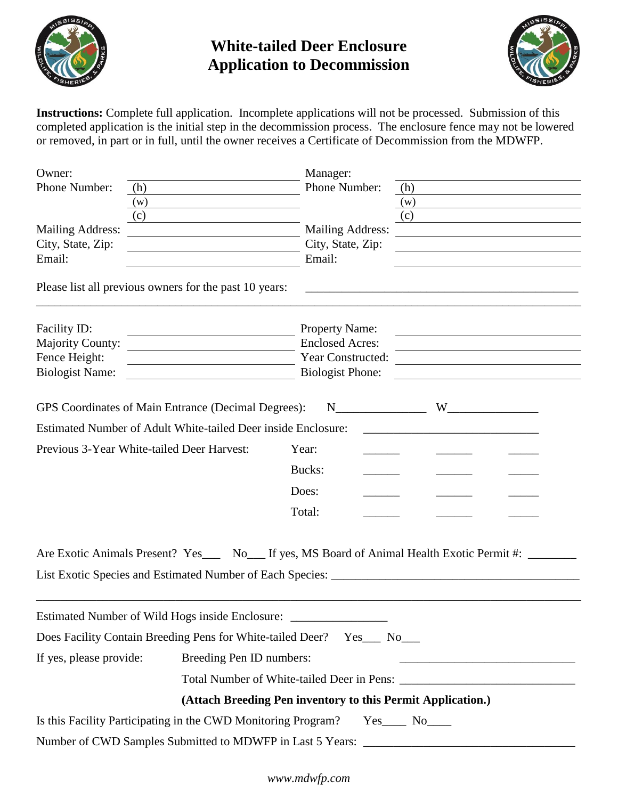

## **White-tailed Deer Enclosure Application to Decommission**



**Instructions:** Complete full application. Incomplete applications will not be processed. Submission of this completed application is the initial step in the decommission process. The enclosure fence may not be lowered or removed, in part or in full, until the owner receives a Certificate of Decommission from the MDWFP.

| Owner:                                                 |                                                                                                                                                                                                                                                                          | Manager:                |                                                                                                     |
|--------------------------------------------------------|--------------------------------------------------------------------------------------------------------------------------------------------------------------------------------------------------------------------------------------------------------------------------|-------------------------|-----------------------------------------------------------------------------------------------------|
| Phone Number:<br>(h)                                   |                                                                                                                                                                                                                                                                          | Phone Number:           | (h)                                                                                                 |
| (w)                                                    |                                                                                                                                                                                                                                                                          |                         | (w)                                                                                                 |
| (c)                                                    |                                                                                                                                                                                                                                                                          |                         | (c)                                                                                                 |
| <b>Mailing Address:</b>                                | <u> 1989 - John Stein, mars and de Branch and de Branch and de Branch and de Branch and de Branch and de Branch an</u>                                                                                                                                                   | <b>Mailing Address:</b> | <u> 1989 - Johann Stein, fransk politik (d. 1989)</u>                                               |
| City, State, Zip:                                      |                                                                                                                                                                                                                                                                          | City, State, Zip:       | <u> 1989 - Johann Stein, fransk politik (f. 1989)</u>                                               |
| Email:                                                 |                                                                                                                                                                                                                                                                          | Email:                  |                                                                                                     |
| Please list all previous owners for the past 10 years: |                                                                                                                                                                                                                                                                          |                         |                                                                                                     |
| Facility ID:                                           |                                                                                                                                                                                                                                                                          | <b>Property Name:</b>   |                                                                                                     |
| <b>Majority County:</b>                                | <b>Enclosed Acres:</b><br><u> 1989 - Johann Stoff, deutscher Stoffen und der Stoffen und der Stoffen und der Stoffen und der Stoffen und der</u><br><u> 1989 - Johann Barn, mars ann an t-Amhain Aonaich an t-Aonaich an t-Aonaich ann an t-Aonaich ann an t-Aonaich</u> |                         |                                                                                                     |
| Fence Height:                                          | Year Constructed:<br><u> 1989 - Johann Barn, mars eta biztanleria (h. 1989).</u>                                                                                                                                                                                         |                         |                                                                                                     |
| <b>Biologist Name:</b>                                 |                                                                                                                                                                                                                                                                          | <b>Biologist Phone:</b> |                                                                                                     |
|                                                        | GPS Coordinates of Main Entrance (Decimal Degrees):                                                                                                                                                                                                                      | $N$ <sub>1</sub>        |                                                                                                     |
|                                                        | Estimated Number of Adult White-tailed Deer inside Enclosure:                                                                                                                                                                                                            |                         |                                                                                                     |
| Previous 3-Year White-tailed Deer Harvest:             | Year:                                                                                                                                                                                                                                                                    |                         |                                                                                                     |
|                                                        |                                                                                                                                                                                                                                                                          | Bucks:                  |                                                                                                     |
|                                                        | Does:                                                                                                                                                                                                                                                                    |                         |                                                                                                     |
|                                                        | Total:                                                                                                                                                                                                                                                                   |                         |                                                                                                     |
|                                                        |                                                                                                                                                                                                                                                                          |                         | Are Exotic Animals Present? Yes___ No___ If yes, MS Board of Animal Health Exotic Permit #: _______ |
|                                                        |                                                                                                                                                                                                                                                                          |                         |                                                                                                     |
|                                                        |                                                                                                                                                                                                                                                                          |                         |                                                                                                     |
| Estimated Number of Wild Hogs inside Enclosure:        |                                                                                                                                                                                                                                                                          |                         |                                                                                                     |
|                                                        | Does Facility Contain Breeding Pens for White-tailed Deer? Yes___ No___                                                                                                                                                                                                  |                         |                                                                                                     |
| If yes, please provide:                                | Breeding Pen ID numbers:                                                                                                                                                                                                                                                 |                         |                                                                                                     |
|                                                        |                                                                                                                                                                                                                                                                          |                         |                                                                                                     |
|                                                        | (Attach Breeding Pen inventory to this Permit Application.)                                                                                                                                                                                                              |                         |                                                                                                     |
|                                                        | Is this Facility Participating in the CWD Monitoring Program? Yes____ No____                                                                                                                                                                                             |                         |                                                                                                     |
|                                                        | Number of CWD Samples Submitted to MDWFP in Last 5 Years: ______________________                                                                                                                                                                                         |                         |                                                                                                     |